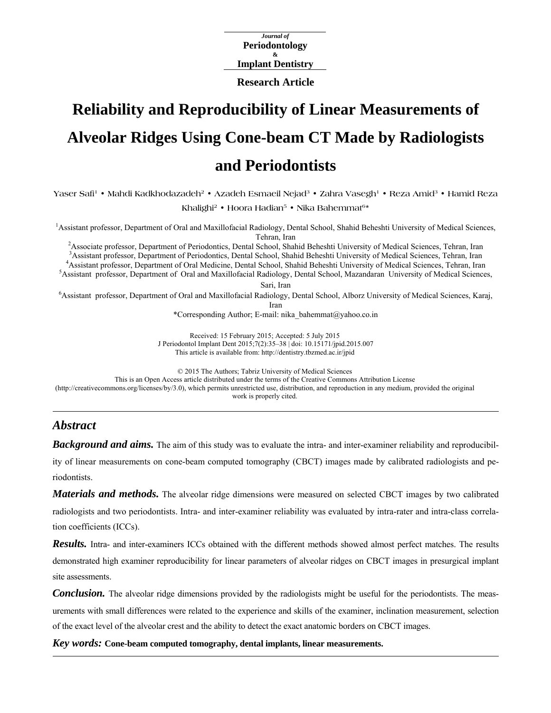*Journal of*  **Periodontology & Implant Dentistry** 

**Research Article**

# **Reliability and Reproducibility of Linear Measurements of Alveolar Ridges Using Cone-beam CT Made by Radiologists and Periodontists**

Yaser Safi<sup>1</sup> • Mahdi Kadkhodazadeh<sup>2</sup> • Azadeh Esmaeil Nejad<sup>3</sup> • Zahra Vasegh<sup>1</sup> • Reza Amid<sup>3</sup> • Hamid Reza

**Khalighi2 • Hoora Hadian5 • Nika Bahemmat6\*** 

1 Assistant professor, Department of Oral and Maxillofacial Radiology, Dental School, Shahid Beheshti University of Medical Sciences, Tehran, Iran<br><sup>2</sup> Associate professor, Department of Beriodenties, Deptal Sebool, Sheb

Associate professor, Department of Periodontics, Dental School, Shahid Beheshti University of Medical Sciences, Tehran, Iran 3 Assistant professor, Department of Periodontics, Dental School, Shahid Beheshti University of M <sup>3</sup> Assistant professor, Department of Periodontics, Dental School, Shahid Beheshti University of Medical Sciences, Tehran, Iran Assistant professor, Department of Oral Medicine, Dental School, Shahid Beheshti University of Medical Sciences, Tehran, Iran

Assistant professor, Department of Oral and Maxillofacial Radiology, Dental School, Mazandaran University of Medical Sciences, Sari, Iran

6 Assistant professor, Department of Oral and Maxillofacial Radiology, Dental School, Alborz University of Medical Sciences, Karaj,

Iran

\*Corresponding Author; E-mail: nika\_bahemmat@yahoo.co.in

Received: 15 February 2015; Accepted: 5 July 2015 J Periodontol Implant Dent 2015;7(2):35–38 | [doi: 10.15171/jpid.2015.007](http://dx.doi.org/10.15171/jpid.2015.007)  This article is available from: <http://dentistry.tbzmed.ac.ir/jpid>

© 2015 The Authors; Tabriz University of Medical Sciences

This is an Open Access article distributed under the terms of the Creative Commons Attribution License

[\(http://creativecommons.org/licenses/by/3.0](http://creativecommons.org/licenses/by/3.0)), which permits unrestricted use, distribution, and reproduction in any medium, provided the original work is properly cited.

## *Abstract*

*Background and aims.* The aim of this study was to evaluate the intra- and inter-examiner reliability and reproducibil-

ity of linear measurements on cone-beam computed tomography (CBCT) images made by calibrated radiologists and periodontists.

*Materials and methods.* The alveolar ridge dimensions were measured on selected CBCT images by two calibrated radiologists and two periodontists. Intra- and inter-examiner reliability was evaluated by intra-rater and intra-class correlation coefficients (ICCs).

*Results.* Intra- and inter-examiners ICCs obtained with the different methods showed almost perfect matches. The results demonstrated high examiner reproducibility for linear parameters of alveolar ridges on CBCT images in presurgical implant site assessments.

*Conclusion.* The alveolar ridge dimensions provided by the radiologists might be useful for the periodontists. The measurements with small differences were related to the experience and skills of the examiner, inclination measurement, selection of the exact level of the alveolar crest and the ability to detect the exact anatomic borders on CBCT images.

*Key words:* **Cone-beam computed tomography, dental implants, linear measurements.**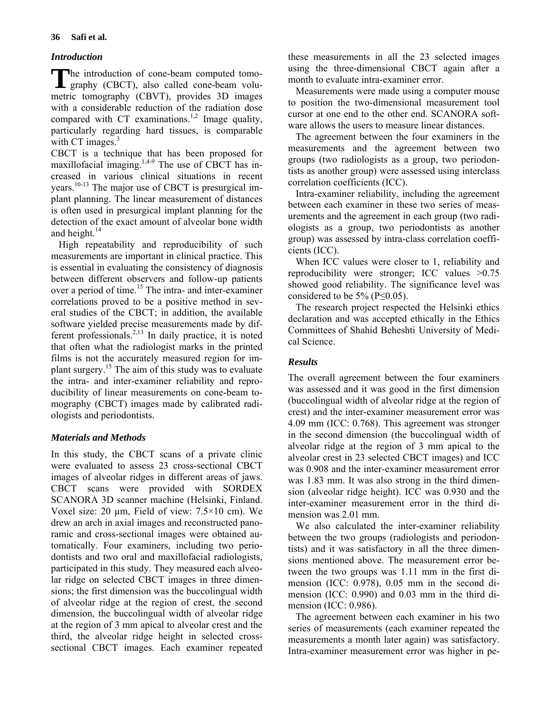## *Introduction*

The introduction of cone-beam computed tomo-<br>graphy (CBCT), also called cone-beam volugraphy (CBCT), also called cone-beam volumetric tomography (CBVT), provides 3D images with a considerable reduction of the radiation dose compared with  $CT$  examinations.<sup>1,2</sup> Image quality, particularly regarding hard tissues, is comparable with CT images. $3$ 

CBCT is a technique that has been proposed for maxillofacial imaging.<sup>1,4-9</sup> The use of CBCT has increased in various clinical situations in recent years.10-13 The major use of CBCT is presurgical implant planning. The linear measurement of distances is often used in presurgical implant planning for the detection of the exact amount of alveolar bone width and height.<sup>14</sup>

High repeatability and reproducibility of such measurements are important in clinical practice. This is essential in evaluating the consistency of diagnosis between different observers and follow-up patients over a period of time.<sup>15</sup> The intra- and inter-examiner correlations proved to be a positive method in several studies of the CBCT; in addition, the available software yielded precise measurements made by different professionals.2,13 In daily practice, it is noted that often what the radiologist marks in the printed films is not the accurately measured region for implant surgery.<sup>15</sup> The aim of this study was to evaluate the intra- and inter-examiner reliability and reproducibility of linear measurements on cone-beam tomography (CBCT) images made by calibrated radiologists and periodontists.

## *Materials and Methods*

In this study, the CBCT scans of a private clinic were evaluated to assess 23 cross-sectional CBCT images of alveolar ridges in different areas of jaws. CBCT scans were provided with SORDEX SCANORA 3D scanner machine (Helsinki, Finland. Voxel size: 20  $\mu$ m, Field of view: 7.5×10 cm). We drew an arch in axial images and reconstructed panoramic and cross-sectional images were obtained automatically. Four examiners, including two periodontists and two oral and maxillofacial radiologists, participated in this study. They measured each alveolar ridge on selected CBCT images in three dimensions; the first dimension was the buccolingual width of alveolar ridge at the region of crest, the second dimension, the buccolingual width of alveolar ridge at the region of 3 mm apical to alveolar crest and the third, the alveolar ridge height in selected crosssectional CBCT images. Each examiner repeated

these measurements in all the 23 selected images using the three-dimensional CBCT again after a month to evaluate intra-examiner error.

Measurements were made using a computer mouse to position the two-dimensional measurement tool cursor at one end to the other end. SCANORA software allows the users to measure linear distances.

The agreement between the four examiners in the measurements and the agreement between two groups (two radiologists as a group, two periodontists as another group) were assessed using interclass correlation coefficients (ICC).

Intra-examiner reliability, including the agreement between each examiner in these two series of measurements and the agreement in each group (two radiologists as a group, two periodontists as another group) was assessed by intra-class correlation coefficients (ICC).

When ICC values were closer to 1, reliability and reproducibility were stronger; ICC values >0.75 showed good reliability. The significance level was considered to be  $5\%$  (P $\leq$ 0.05).

The research project respected the Helsinki ethics declaration and was accepted ethically in the Ethics Committees of Shahid Beheshti University of Medical Science.

## *Results*

The overall agreement between the four examiners was assessed and it was good in the first dimension (buccolingual width of alveolar ridge at the region of crest) and the inter-examiner measurement error was 4.09 mm (ICC: 0.768). This agreement was stronger in the second dimension (the buccolingual width of alveolar ridge at the region of 3 mm apical to the alveolar crest in 23 selected CBCT images) and ICC was 0.908 and the inter-examiner measurement error was 1.83 mm. It was also strong in the third dimension (alveolar ridge height). ICC was 0.930 and the inter-examiner measurement error in the third dimension was 2.01 mm.

We also calculated the inter-examiner reliability between the two groups (radiologists and periodontists) and it was satisfactory in all the three dimensions mentioned above. The measurement error between the two groups was 1.11 mm in the first dimension (ICC: 0.978), 0.05 mm in the second dimension (ICC: 0.990) and 0.03 mm in the third dimension (ICC: 0.986).

The agreement between each examiner in his two series of measurements (each examiner repeated the measurements a month later again) was satisfactory. Intra-examiner measurement error was higher in pe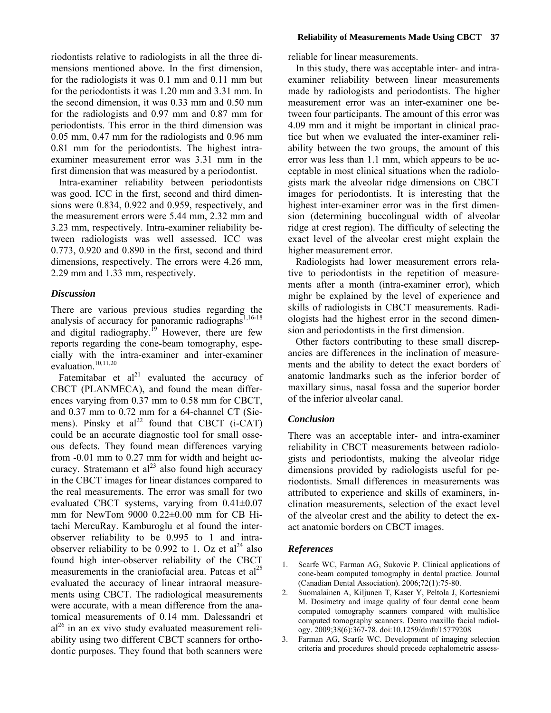riodontists relative to radiologists in all the three dimensions mentioned above. In the first dimension, for the radiologists it was 0.1 mm and 0.11 mm but for the periodontists it was 1.20 mm and 3.31 mm. In the second dimension, it was 0.33 mm and 0.50 mm for the radiologists and 0.97 mm and 0.87 mm for periodontists. This error in the third dimension was 0.05 mm, 0.47 mm for the radiologists and 0.96 mm 0.81 mm for the periodontists. The highest intraexaminer measurement error was 3.31 mm in the first dimension that was measured by a periodontist.

Intra-examiner reliability between periodontists was good. ICC in the first, second and third dimensions were 0.834, 0.922 and 0.959, respectively, and the measurement errors were 5.44 mm, 2.32 mm and 3.23 mm, respectively. Intra-examiner reliability between radiologists was well assessed. ICC was 0.773, 0.920 and 0.890 in the first, second and third dimensions, respectively. The errors were 4.26 mm, 2.29 mm and 1.33 mm, respectively.

## *Discussion*

There are various previous studies regarding the analysis of accuracy for panoramic radiographs $1,16-18$ and digital radiography.<sup>19</sup> However, there are few reports regarding the cone-beam tomography, especially with the intra-examiner and inter-examiner evaluation.<sup>10,11,20</sup>

Fatemitabar et  $al^{21}$  evaluated the accuracy of CBCT (PLANMECA), and found the mean differences varying from 0.37 mm to 0.58 mm for CBCT, and 0.37 mm to 0.72 mm for a 64-channel CT (Siemens). Pinsky et  $al^{22}$  found that CBCT (i-CAT) could be an accurate diagnostic tool for small osseous defects. They found mean differences varying from -0.01 mm to 0.27 mm for width and height accuracy. Stratemann et  $al<sup>23</sup>$  also found high accuracy in the CBCT images for linear distances compared to the real measurements. The error was small for two evaluated CBCT systems, varying from  $0.41 \pm 0.07$ mm for NewTom 9000 0.22±0.00 mm for CB Hitachi MercuRay. Kamburoglu et al found the interobserver reliability to be 0.995 to 1 and intraobserver reliability to be 0.992 to 1. Oz et  $al<sup>24</sup>$  also found high inter-observer reliability of the CBCT measurements in the craniofacial area. Patcas et  $al^{25}$ evaluated the accuracy of linear intraoral measurements using CBCT. The radiological measurements were accurate, with a mean difference from the anatomical measurements of 0.14 mm. Dalessandri et  $al^{26}$  in an ex vivo study evaluated measurement reliability using two different CBCT scanners for orthodontic purposes. They found that both scanners were

reliable for linear measurements.

In this study, there was acceptable inter- and intraexaminer reliability between linear measurements made by radiologists and periodontists. The higher measurement error was an inter-examiner one between four participants. The amount of this error was 4.09 mm and it might be important in clinical practice but when we evaluated the inter-examiner reliability between the two groups, the amount of this error was less than 1.1 mm, which appears to be acceptable in most clinical situations when the radiologists mark the alveolar ridge dimensions on CBCT images for periodontists. It is interesting that the highest inter-examiner error was in the first dimension (determining buccolingual width of alveolar ridge at crest region). The difficulty of selecting the exact level of the alveolar crest might explain the higher measurement error.

Radiologists had lower measurement errors relative to periodontists in the repetition of measurements after a month (intra-examiner error), which mighr be explained by the level of experience and skills of radiologists in CBCT measurements. Radiologists had the highest error in the second dimension and periodontists in the first dimension.

Other factors contributing to these small discrepancies are differences in the inclination of measurements and the ability to detect the exact borders of anatomic landmarks such as the inferior border of maxillary sinus, nasal fossa and the superior border of the inferior alveolar canal.

## *Conclusion*

There was an acceptable inter- and intra-examiner reliability in CBCT measurements between radiologists and periodontists, making the alveolar ridge dimensions provided by radiologists useful for periodontists. Small differences in measurements was attributed to experience and skills of examiners, inclination measurements, selection of the exact level of the alveolar crest and the ability to detect the exact anatomic borders on CBCT images.

#### *References*

- 1. Scarfe WC, Farman AG, Sukovic P. Clinical applications of cone-beam computed tomography in dental practice. Journal (Canadian Dental Association). 2006;72(1):75-80.
- 2. Suomalainen A, Kiljunen T, Kaser Y, Peltola J, Kortesniemi M. Dosimetry and image quality of four dental cone beam computed tomography scanners compared with multislice computed tomography scanners. Dento maxillo facial radiology. 2009;38(6):367-78. doi:10.1259/dmfr/15779208
- 3. Farman AG, Scarfe WC. Development of imaging selection criteria and procedures should precede cephalometric assess-